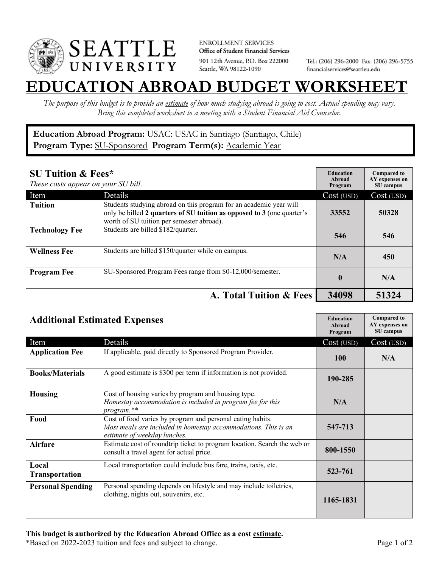

**ENROLLMENT SERVICES** Office of Student Financial Services 901 12th Avenue, P.O. Box 222000 Seattle, WA 98122-1090

Tel.: (206) 296-2000 Fax: (206) 296-5755 financialservices@seattleu.edu

## **EATION ABROAD BUDGET WORKSHEE**

*The purpose of this budget is to provide an estimate of how much studying abroad is going to cost. Actual spending may vary. Bring this completed worksheet to a meeting with a Student Financial Aid Counselor.* 

## **Education Abroad Program:** USAC: USAC in Santiago (Santiago, Chile) Program Type: **SU-Sponsored** Program Term(s): **Academic Year**

| <b>SU Tuition &amp; Fees*</b><br>These costs appear on your SU bill. |                                                                                                                                                                                           | <b>Education</b><br>Abroad<br>Program | <b>Compared to</b><br>AY expenses on<br>SU campus |
|----------------------------------------------------------------------|-------------------------------------------------------------------------------------------------------------------------------------------------------------------------------------------|---------------------------------------|---------------------------------------------------|
| Item                                                                 | Details                                                                                                                                                                                   | Cost (USD)                            | Cost (USD)                                        |
| <b>Tuition</b>                                                       | Students studying abroad on this program for an academic year will<br>only be billed 2 quarters of SU tuition as opposed to 3 (one quarter's<br>worth of SU tuition per semester abroad). | 33552                                 | 50328                                             |
| <b>Technology Fee</b>                                                | Students are billed \$182/quarter.                                                                                                                                                        | 546                                   | 546                                               |
| <b>Wellness Fee</b>                                                  | Students are billed \$150/quarter while on campus.                                                                                                                                        | N/A                                   | 450                                               |
| <b>Program Fee</b>                                                   | SU-Sponsored Program Fees range from \$0-12,000/semester.                                                                                                                                 | $\mathbf 0$                           | N/A                                               |
|                                                                      | A. Total Tuition & Fees                                                                                                                                                                   | 34098                                 | 51324                                             |

| <b>Additional Estimated Expenses</b> |                                                                                                                                                              | <b>Education</b><br>Abroad<br>Program | <b>Compared to</b><br>AY expenses on<br>SU campus |
|--------------------------------------|--------------------------------------------------------------------------------------------------------------------------------------------------------------|---------------------------------------|---------------------------------------------------|
| Item                                 | Details                                                                                                                                                      | Cost (USD)                            | Cost (USD)                                        |
| <b>Application Fee</b>               | If applicable, paid directly to Sponsored Program Provider.                                                                                                  | <b>100</b>                            | N/A                                               |
| <b>Books/Materials</b>               | A good estimate is \$300 per term if information is not provided.                                                                                            | 190-285                               |                                                   |
| <b>Housing</b>                       | Cost of housing varies by program and housing type.<br>Homestay accommodation is included in program fee for this<br>program.**                              | N/A                                   |                                                   |
| Food                                 | Cost of food varies by program and personal eating habits.<br>Most meals are included in homestay accommodations. This is an<br>estimate of weekday lunches. | 547-713                               |                                                   |
| <b>Airfare</b>                       | Estimate cost of roundtrip ticket to program location. Search the web or<br>consult a travel agent for actual price.                                         | 800-1550                              |                                                   |
| Local<br><b>Transportation</b>       | Local transportation could include bus fare, trains, taxis, etc.                                                                                             | 523-761                               |                                                   |
| <b>Personal Spending</b>             | Personal spending depends on lifestyle and may include toiletries,<br>clothing, nights out, souvenirs, etc.                                                  | 1165-1831                             |                                                   |

\*Based on 2022-2023 tuition and fees and subject to change. Page 1 of 2